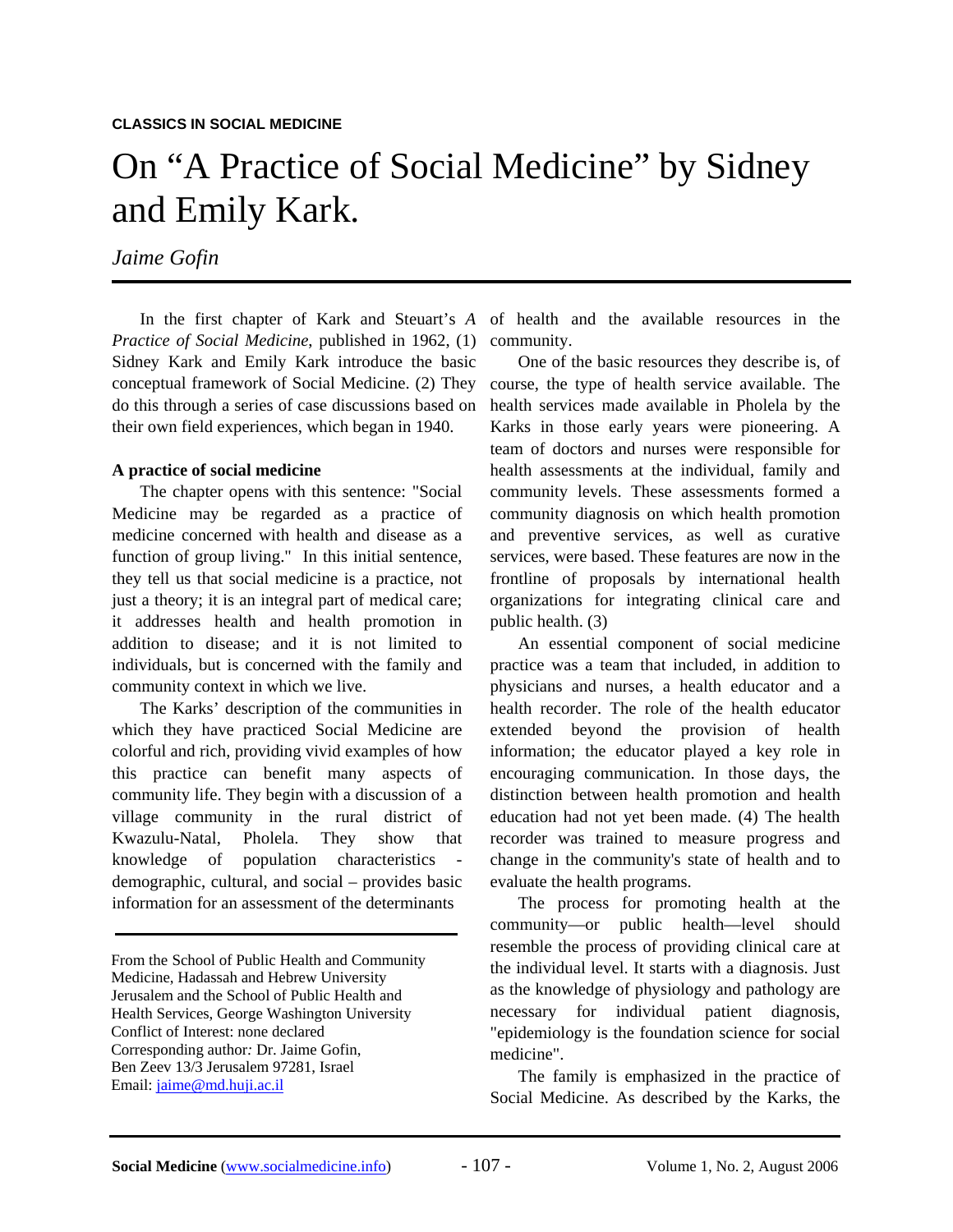# On "A Practice of Social Medicine" by Sidney and Emily Kark.

## *Jaime Gofin*

*Practice of Social Medicine*, published in 1962, (1) Sidney Kark and Emily Kark introduce the basic conceptual framework of Social Medicine. (2) They course, the type of health service available. The do this through a series of case discussions based on their own field experiences, which began in 1940.

#### **A practice of social medicine**

The chapter opens with this sentence: "Social Medicine may be regarded as a practice of medicine concerned with health and disease as a function of group living." In this initial sentence, they tell us that social medicine is a practice, not just a theory; it is an integral part of medical care; it addresses health and health promotion in addition to disease; and it is not limited to individuals, but is concerned with the family and community context in which we live.

The Karks' description of the communities in which they have practiced Social Medicine are colorful and rich, providing vivid examples of how this practice can benefit many aspects of community life. They begin with a discussion of a village community in the rural district of Kwazulu-Natal, Pholela. They show that knowledge of population characteristics demographic, cultural, and social – provides basic information for an assessment of the determinants

From the School of Public Health and Community Medicine, Hadassah and Hebrew University Jerusalem and the School of Public Health and Health Services, George Washington University Conflict of Interest: none declared Corresponding author*:* Dr. Jaime Gofin, Ben Zeev 13/3 Jerusalem 97281, Israel Email: [jaime@md.huji.ac.il](mailto:jaime@md.huji.ac.il)

In the first chapter of Kark and Steuart's *A*  of health and the available resources in the community.

> One of the basic resources they describe is, of health services made available in Pholela by the Karks in those early years were pioneering. A team of doctors and nurses were responsible for health assessments at the individual, family and community levels. These assessments formed a community diagnosis on which health promotion and preventive services, as well as curative services, were based. These features are now in the frontline of proposals by international health organizations for integrating clinical care and public health. (3)

> An essential component of social medicine practice was a team that included, in addition to physicians and nurses, a health educator and a health recorder. The role of the health educator extended beyond the provision of health information; the educator played a key role in encouraging communication. In those days, the distinction between health promotion and health education had not yet been made. (4) The health recorder was trained to measure progress and change in the community's state of health and to evaluate the health programs.

> The process for promoting health at the community—or public health—level should resemble the process of providing clinical care at the individual level. It starts with a diagnosis. Just as the knowledge of physiology and pathology are necessary for individual patient diagnosis, "epidemiology is the foundation science for social medicine".

> The family is emphasized in the practice of Social Medicine. As described by the Karks, the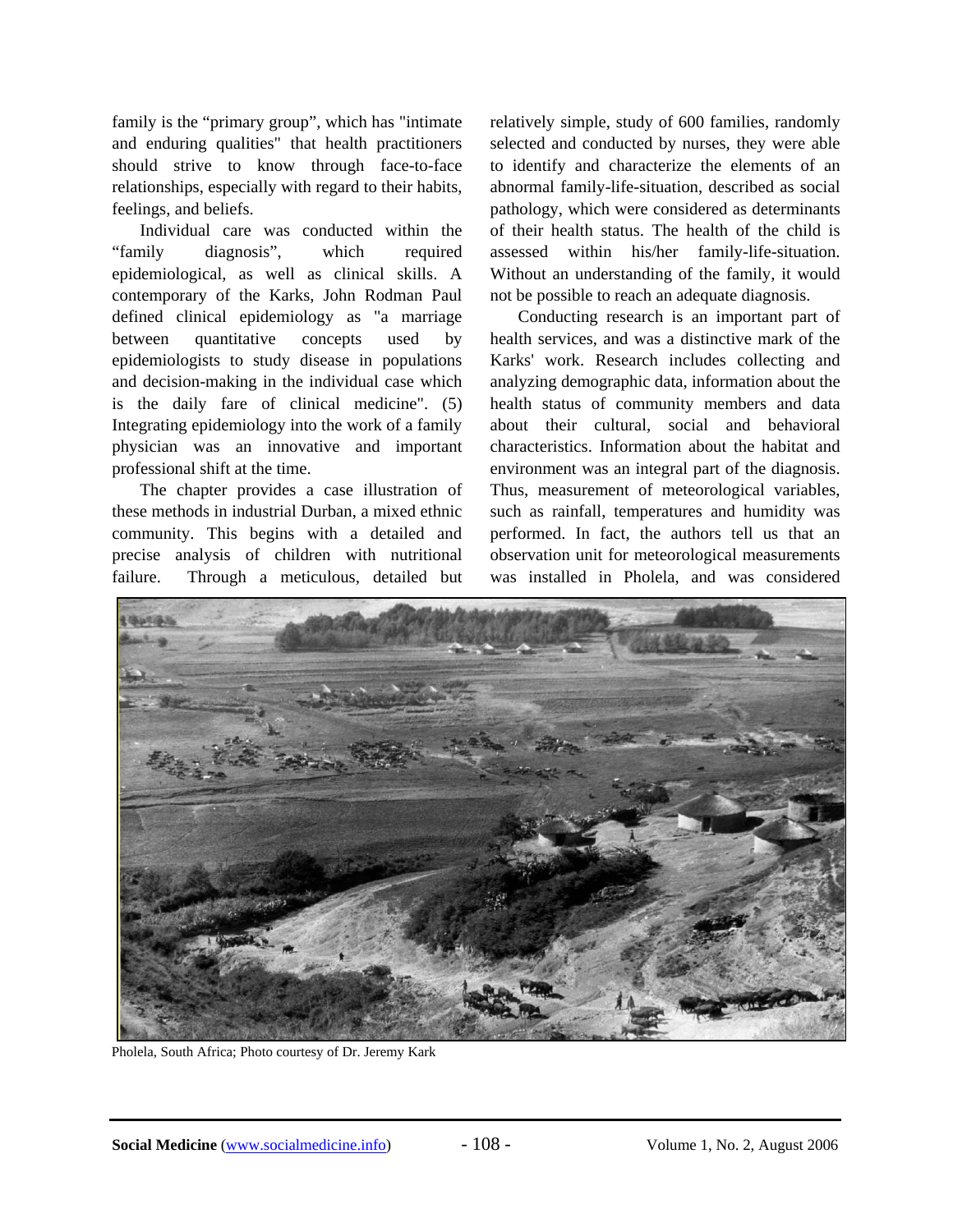family is the "primary group", which has "intimate and enduring qualities" that health practitioners should strive to know through face-to-face relationships, especially with regard to their habits, feelings, and beliefs.

Individual care was conducted within the "family diagnosis", which required epidemiological, as well as clinical skills. A contemporary of the Karks, John Rodman Paul defined clinical epidemiology as "a marriage between quantitative concepts used by epidemiologists to study disease in populations and decision-making in the individual case which is the daily fare of clinical medicine". (5) Integrating epidemiology into the work of a family physician was an innovative and important professional shift at the time.

The chapter provides a case illustration of these methods in industrial Durban, a mixed ethnic community. This begins with a detailed and precise analysis of children with nutritional failure. Through a meticulous, detailed but relatively simple, study of 600 families, randomly selected and conducted by nurses, they were able to identify and characterize the elements of an abnormal family-life-situation, described as social pathology, which were considered as determinants of their health status. The health of the child is assessed within his/her family-life-situation. Without an understanding of the family, it would not be possible to reach an adequate diagnosis.

Conducting research is an important part of health services, and was a distinctive mark of the Karks' work. Research includes collecting and analyzing demographic data, information about the health status of community members and data about their cultural, social and behavioral characteristics. Information about the habitat and environment was an integral part of the diagnosis. Thus, measurement of meteorological variables, such as rainfall, temperatures and humidity was performed. In fact, the authors tell us that an observation unit for meteorological measurements was installed in Pholela, and was considered



Pholela, South Africa; Photo courtesy of Dr. Jeremy Kark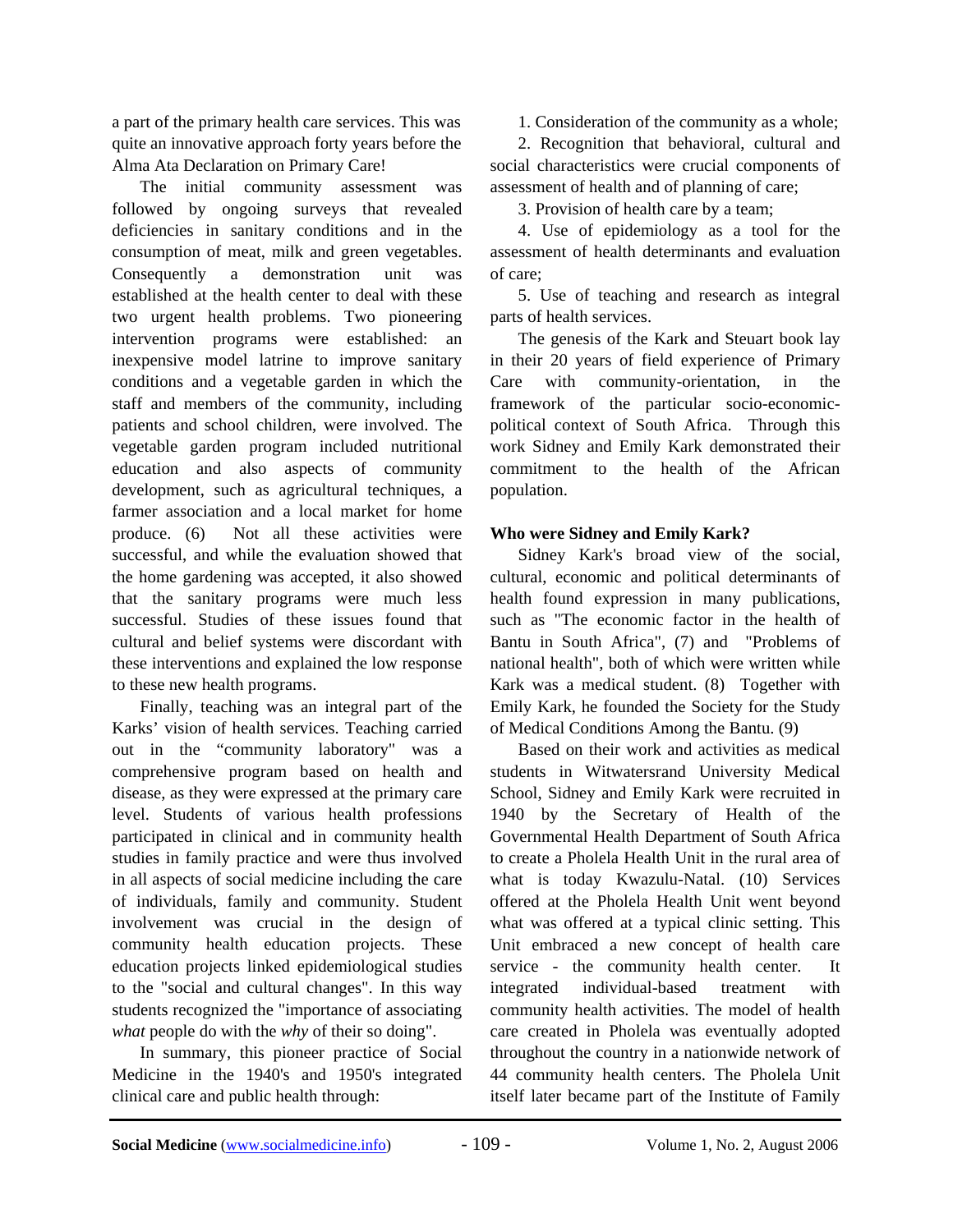a part of the primary health care services. This was quite an innovative approach forty years before the Alma Ata Declaration on Primary Care!

The initial community assessment was followed by ongoing surveys that revealed deficiencies in sanitary conditions and in the consumption of meat, milk and green vegetables. Consequently a demonstration unit was established at the health center to deal with these two urgent health problems. Two pioneering intervention programs were established: an inexpensive model latrine to improve sanitary conditions and a vegetable garden in which the staff and members of the community, including patients and school children, were involved. The vegetable garden program included nutritional education and also aspects of community development, such as agricultural techniques, a farmer association and a local market for home produce. (6) Not all these activities were successful, and while the evaluation showed that the home gardening was accepted, it also showed that the sanitary programs were much less successful. Studies of these issues found that cultural and belief systems were discordant with these interventions and explained the low response to these new health programs.

Finally, teaching was an integral part of the Karks' vision of health services. Teaching carried out in the "community laboratory" was a comprehensive program based on health and disease, as they were expressed at the primary care level. Students of various health professions participated in clinical and in community health studies in family practice and were thus involved in all aspects of social medicine including the care of individuals, family and community. Student involvement was crucial in the design of community health education projects. These education projects linked epidemiological studies to the "social and cultural changes". In this way students recognized the "importance of associating *what* people do with the *why* of their so doing".

In summary, this pioneer practice of Social Medicine in the 1940's and 1950's integrated clinical care and public health through:

1. Consideration of the community as a whole;

2. Recognition that behavioral, cultural and social characteristics were crucial components of assessment of health and of planning of care;

3. Provision of health care by a team;

4. Use of epidemiology as a tool for the assessment of health determinants and evaluation of care;

5. Use of teaching and research as integral parts of health services.

The genesis of the Kark and Steuart book lay in their 20 years of field experience of Primary Care with community-orientation, in the framework of the particular socio-economicpolitical context of South Africa. Through this work Sidney and Emily Kark demonstrated their commitment to the health of the African population.

### **Who were Sidney and Emily Kark?**

Sidney Kark's broad view of the social, cultural, economic and political determinants of health found expression in many publications, such as "The economic factor in the health of Bantu in South Africa", (7) and "Problems of national health", both of which were written while Kark was a medical student. (8) Together with Emily Kark, he founded the Society for the Study of Medical Conditions Among the Bantu. (9)

Based on their work and activities as medical students in Witwatersrand University Medical School, Sidney and Emily Kark were recruited in 1940 by the Secretary of Health of the Governmental Health Department of South Africa to create a Pholela Health Unit in the rural area of what is today Kwazulu-Natal. (10) Services offered at the Pholela Health Unit went beyond what was offered at a typical clinic setting. This Unit embraced a new concept of health care service - the community health center. It integrated individual-based treatment with community health activities. The model of health care created in Pholela was eventually adopted throughout the country in a nationwide network of 44 community health centers. The Pholela Unit itself later became part of the Institute of Family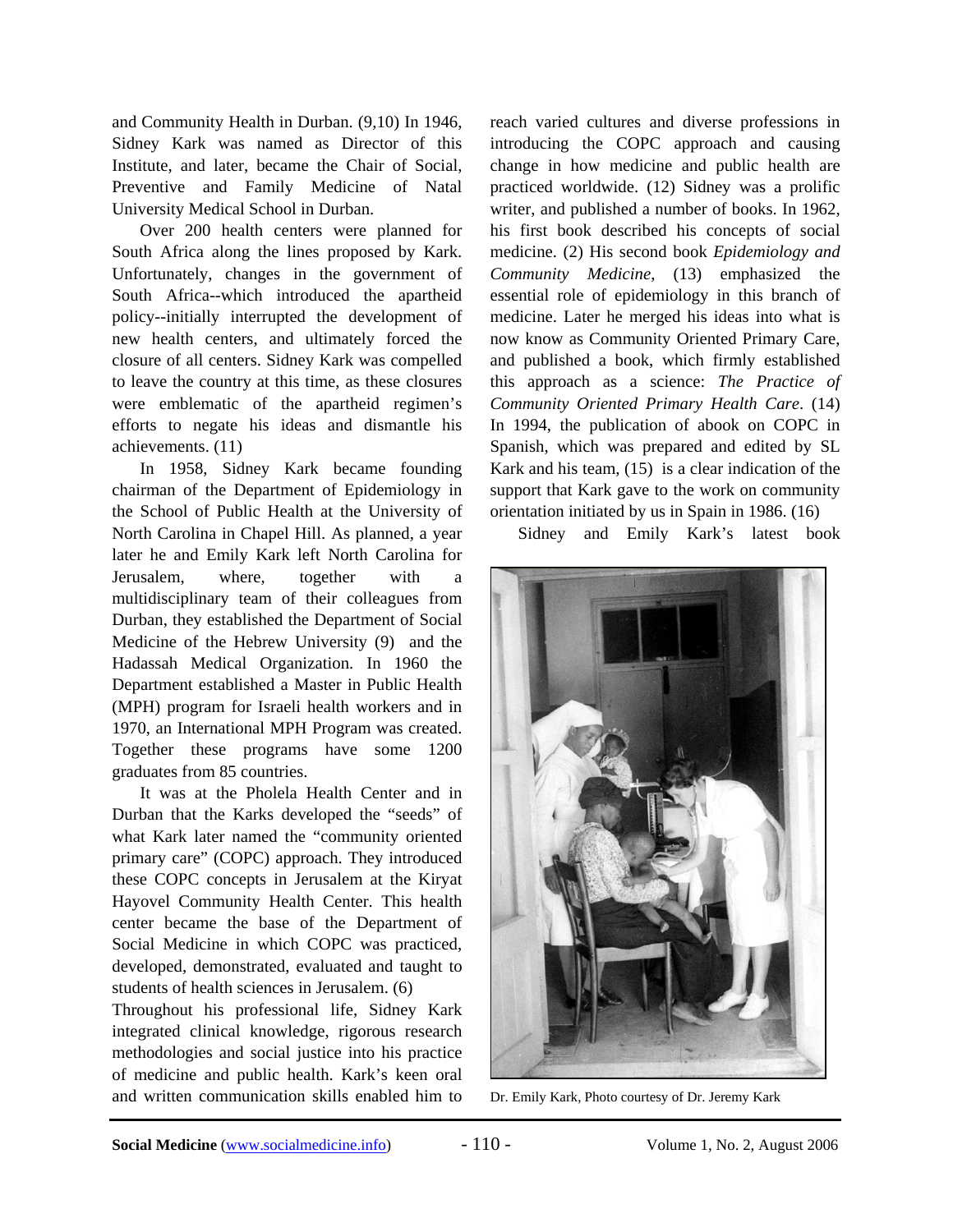and Community Health in Durban. (9,10) In 1946, Sidney Kark was named as Director of this Institute, and later, became the Chair of Social, Preventive and Family Medicine of Natal University Medical School in Durban.

Over 200 health centers were planned for South Africa along the lines proposed by Kark. Unfortunately, changes in the government of South Africa--which introduced the apartheid policy--initially interrupted the development of new health centers, and ultimately forced the closure of all centers. Sidney Kark was compelled to leave the country at this time, as these closures were emblematic of the apartheid regimen's efforts to negate his ideas and dismantle his achievements. (11)

In 1958, Sidney Kark became founding chairman of the Department of Epidemiology in the School of Public Health at the University of North Carolina in Chapel Hill. As planned, a year later he and Emily Kark left North Carolina for Jerusalem, where, together with multidisciplinary team of their colleagues from Durban, they established the Department of Social Medicine of the Hebrew University (9) and the Hadassah Medical Organization. In 1960 the Department established a Master in Public Health (MPH) program for Israeli health workers and in 1970, an International MPH Program was created. Together these programs have some 1200 graduates from 85 countries.

It was at the Pholela Health Center and in Durban that the Karks developed the "seeds" of what Kark later named the "community oriented primary care" (COPC) approach. They introduced these COPC concepts in Jerusalem at the Kiryat Hayovel Community Health Center. This health center became the base of the Department of Social Medicine in which COPC was practiced, developed, demonstrated, evaluated and taught to students of health sciences in Jerusalem. (6)

Throughout his professional life, Sidney Kark integrated clinical knowledge, rigorous research methodologies and social justice into his practice of medicine and public health. Kark's keen oral and written communication skills enabled him to reach varied cultures and diverse professions in introducing the COPC approach and causing change in how medicine and public health are practiced worldwide. (12) Sidney was a prolific writer, and published a number of books. In 1962, his first book described his concepts of social medicine. (2) His second book *Epidemiology and Community Medicine*, (13) emphasized the essential role of epidemiology in this branch of medicine. Later he merged his ideas into what is now know as Community Oriented Primary Care, and published a book, which firmly established this approach as a science: *The Practice of Community Oriented Primary Health Care*. (14) In 1994, the publication of abook on COPC in Spanish, which was prepared and edited by SL Kark and his team, (15) is a clear indication of the support that Kark gave to the work on community orientation initiated by us in Spain in 1986. (16)

Sidney and Emily Kark's latest book



Dr. Emily Kark, Photo courtesy of Dr. Jeremy Kark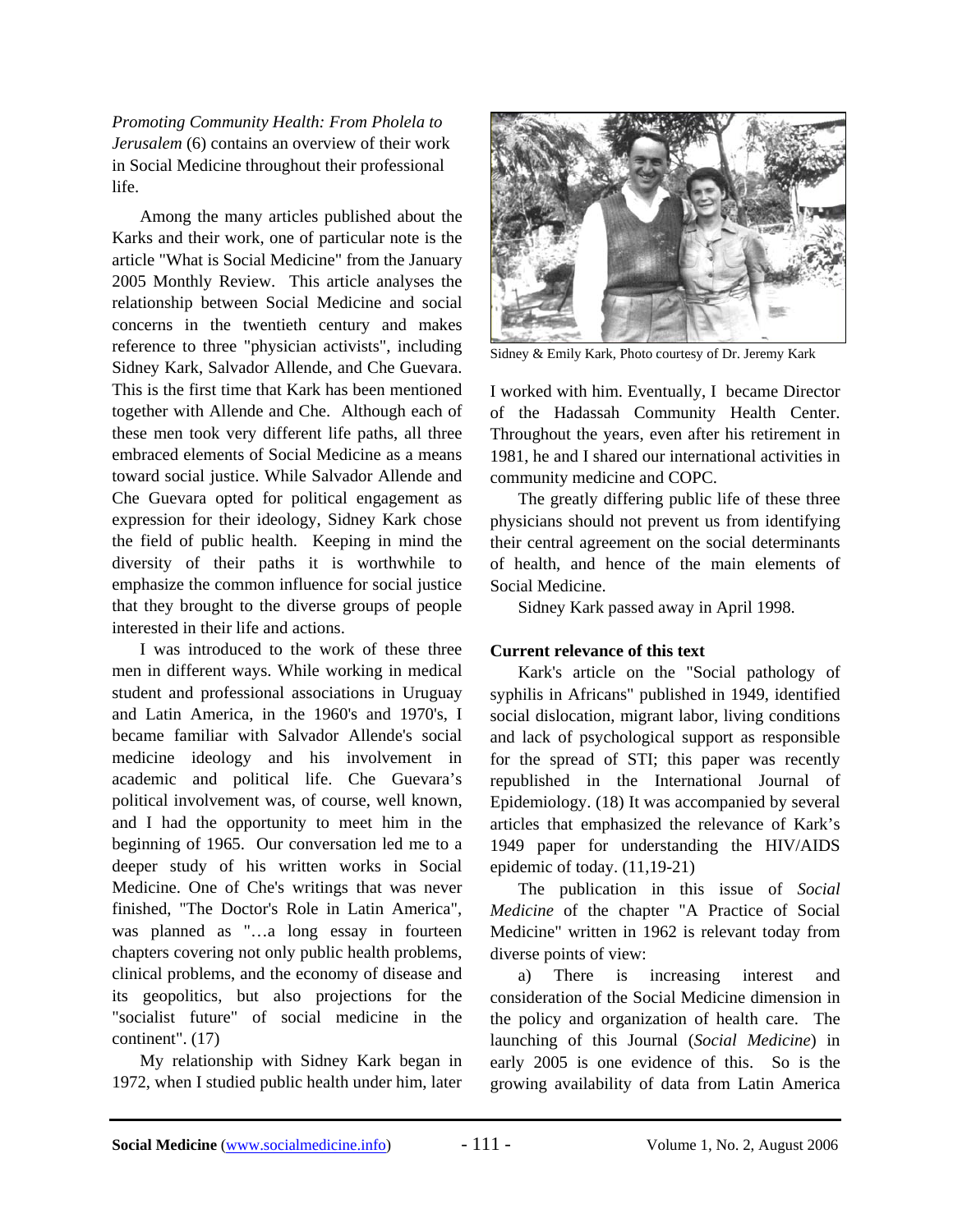*Promoting Community Health: From Pholela to Jerusalem* (6) contains an overview of their work in Social Medicine throughout their professional life.

Among the many articles published about the Karks and their work, one of particular note is the article "What is Social Medicine" from the January 2005 Monthly Review. This article analyses the relationship between Social Medicine and social concerns in the twentieth century and makes reference to three "physician activists", including Sidney Kark, Salvador Allende, and Che Guevara. This is the first time that Kark has been mentioned together with Allende and Che. Although each of these men took very different life paths, all three embraced elements of Social Medicine as a means toward social justice. While Salvador Allende and Che Guevara opted for political engagement as expression for their ideology, Sidney Kark chose the field of public health. Keeping in mind the diversity of their paths it is worthwhile to emphasize the common influence for social justice that they brought to the diverse groups of people interested in their life and actions.

I was introduced to the work of these three men in different ways. While working in medical student and professional associations in Uruguay and Latin America, in the 1960's and 1970's, I became familiar with Salvador Allende's social medicine ideology and his involvement in academic and political life. Che Guevara's political involvement was, of course, well known, and I had the opportunity to meet him in the beginning of 1965. Our conversation led me to a deeper study of his written works in Social Medicine. One of Che's writings that was never finished, "The Doctor's Role in Latin America", was planned as "...a long essay in fourteen chapters covering not only public health problems, clinical problems, and the economy of disease and its geopolitics, but also projections for the "socialist future" of social medicine in the continent". (17)

My relationship with Sidney Kark began in 1972, when I studied public health under him, later



Sidney & Emily Kark, Photo courtesy of Dr. Jeremy Kark

I worked with him. Eventually, I became Director of the Hadassah Community Health Center. Throughout the years, even after his retirement in 1981, he and I shared our international activities in community medicine and COPC.

The greatly differing public life of these three physicians should not prevent us from identifying their central agreement on the social determinants of health, and hence of the main elements of Social Medicine.

Sidney Kark passed away in April 1998.

## **Current relevance of this text**

Kark's article on the "Social pathology of syphilis in Africans" published in 1949, identified social dislocation, migrant labor, living conditions and lack of psychological support as responsible for the spread of STI; this paper was recently republished in the International Journal of Epidemiology. (18) It was accompanied by several articles that emphasized the relevance of Kark's 1949 paper for understanding the HIV/AIDS epidemic of today. (11,19-21)

The publication in this issue of *Social Medicine* of the chapter "A Practice of Social Medicine" written in 1962 is relevant today from diverse points of view:

a) There is increasing interest and consideration of the Social Medicine dimension in the policy and organization of health care. The launching of this Journal (*Social Medicine*) in early 2005 is one evidence of this. So is the growing availability of data from Latin America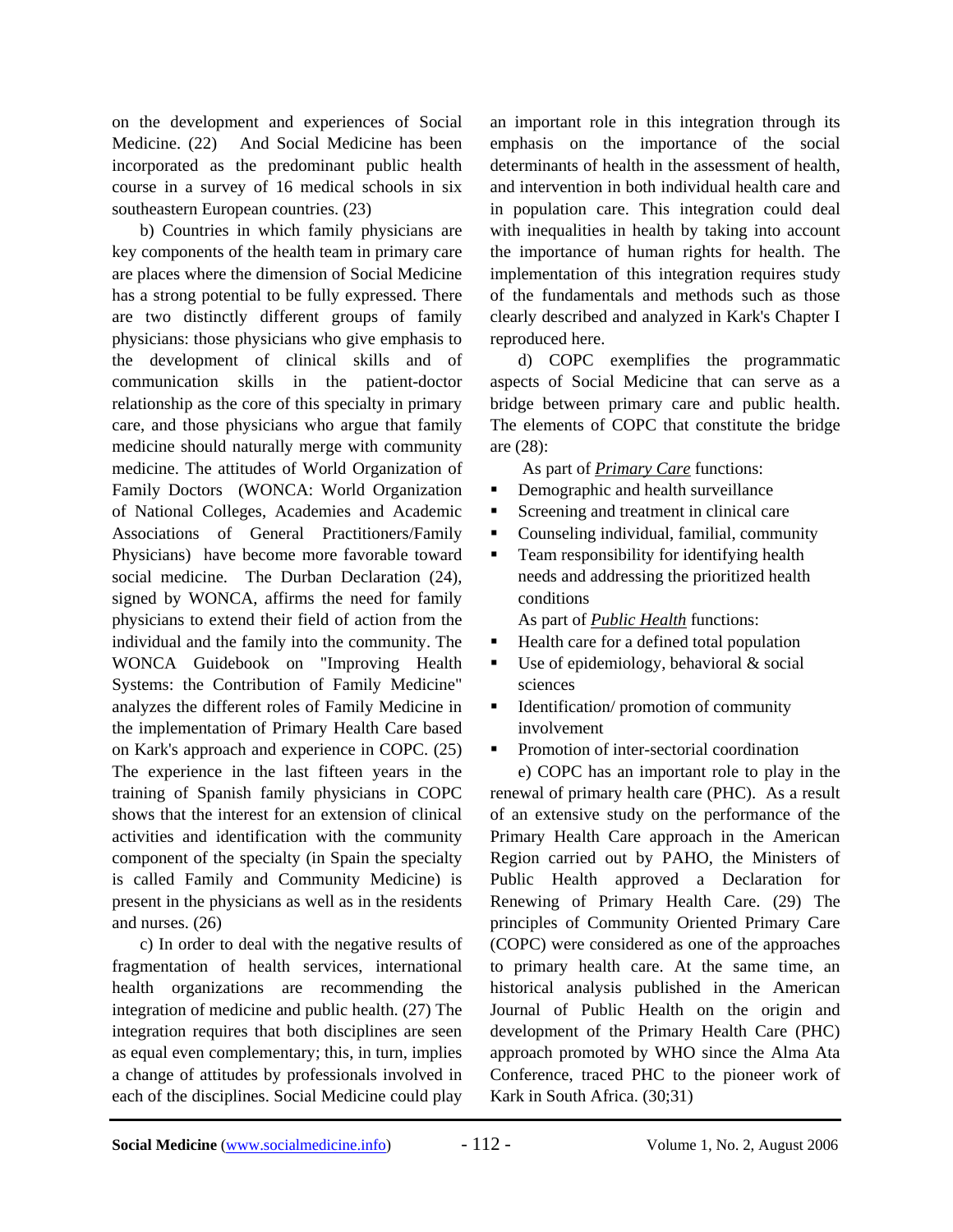on the development and experiences of Social Medicine. (22) And Social Medicine has been incorporated as the predominant public health course in a survey of 16 medical schools in six southeastern European countries. (23)

b) Countries in which family physicians are key components of the health team in primary care are places where the dimension of Social Medicine has a strong potential to be fully expressed. There are two distinctly different groups of family physicians: those physicians who give emphasis to the development of clinical skills and of communication skills in the patient-doctor relationship as the core of this specialty in primary care, and those physicians who argue that family medicine should naturally merge with community medicine. The attitudes of World Organization of Family Doctors (WONCA: World Organization of National Colleges, Academies and Academic Associations of General Practitioners/Family Physicians) have become more favorable toward social medicine. The Durban Declaration (24), signed by WONCA, affirms the need for family physicians to extend their field of action from the individual and the family into the community. The WONCA Guidebook on "Improving Health Systems: the Contribution of Family Medicine" analyzes the different roles of Family Medicine in the implementation of Primary Health Care based on Kark's approach and experience in COPC. (25) The experience in the last fifteen years in the training of Spanish family physicians in COPC shows that the interest for an extension of clinical activities and identification with the community component of the specialty (in Spain the specialty is called Family and Community Medicine) is present in the physicians as well as in the residents and nurses. (26)

c) In order to deal with the negative results of fragmentation of health services, international health organizations are recommending the integration of medicine and public health. (27) The integration requires that both disciplines are seen as equal even complementary; this, in turn, implies a change of attitudes by professionals involved in each of the disciplines. Social Medicine could play

an important role in this integration through its emphasis on the importance of the social determinants of health in the assessment of health, and intervention in both individual health care and in population care. This integration could deal with inequalities in health by taking into account the importance of human rights for health. The implementation of this integration requires study of the fundamentals and methods such as those clearly described and analyzed in Kark's Chapter I reproduced here.

d) COPC exemplifies the programmatic aspects of Social Medicine that can serve as a bridge between primary care and public health. The elements of COPC that constitute the bridge are (28):

As part of *Primary Care* functions:

- Demographic and health surveillance
- Screening and treatment in clinical care
- Counseling individual, familial, community
- **Team responsibility for identifying health** needs and addressing the prioritized health conditions

As part of *Public Health* functions:

- Health care for a defined total population
- $\blacksquare$  Use of epidemiology, behavioral & social sciences
- $\blacksquare$  Identification/ promotion of community involvement
- Promotion of inter-sectorial coordination

e) COPC has an important role to play in the renewal of primary health care (PHC). As a result of an extensive study on the performance of the Primary Health Care approach in the American Region carried out by PAHO, the Ministers of Public Health approved a Declaration for Renewing of Primary Health Care. (29) The principles of Community Oriented Primary Care (COPC) were considered as one of the approaches to primary health care. At the same time, an historical analysis published in the American Journal of Public Health on the origin and development of the Primary Health Care (PHC) approach promoted by WHO since the Alma Ata Conference, traced PHC to the pioneer work of Kark in South Africa. (30;31)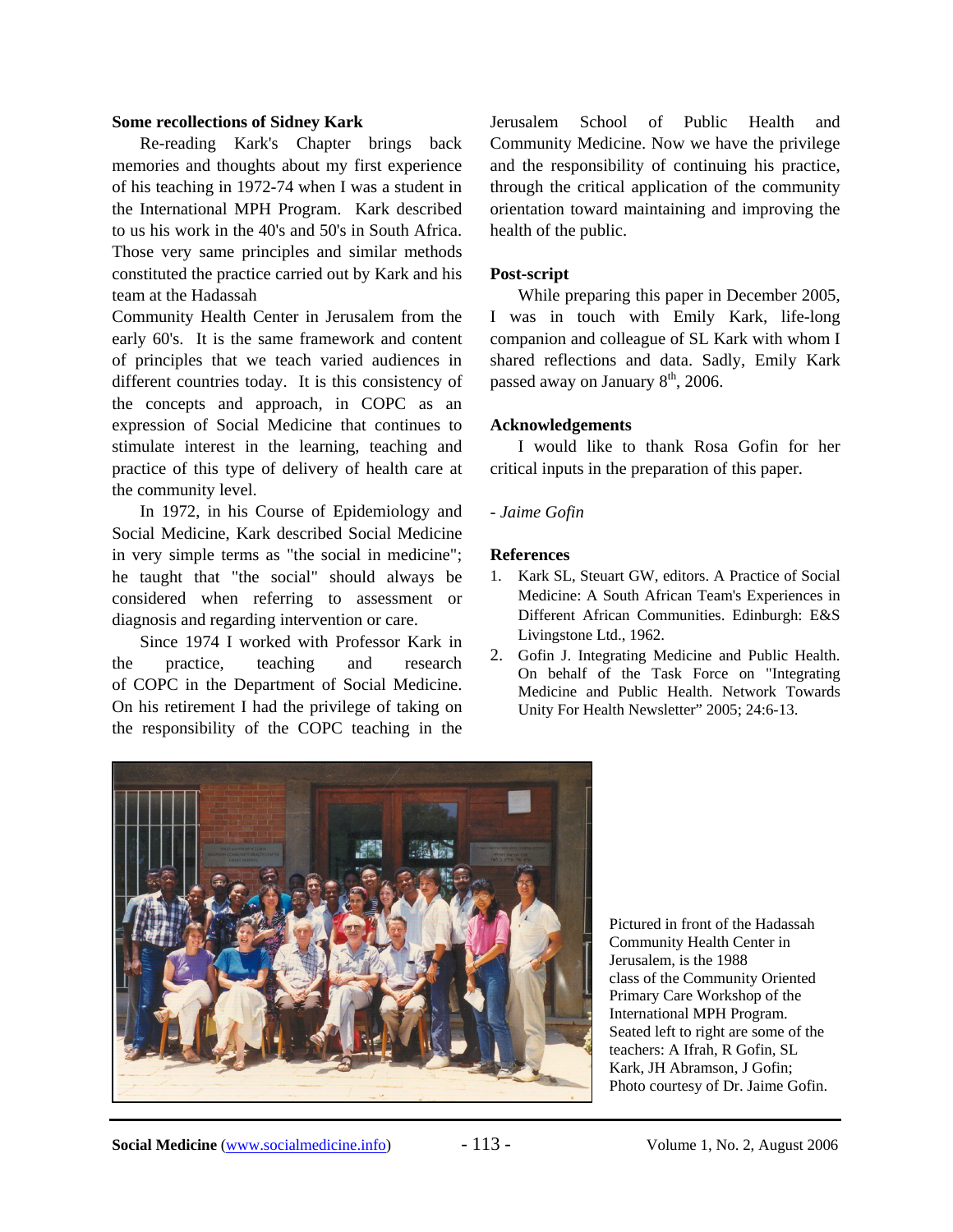#### **Some recollections of Sidney Kark**

Re-reading Kark's Chapter brings back memories and thoughts about my first experience of his teaching in 1972-74 when I was a student in the International MPH Program. Kark described to us his work in the 40's and 50's in South Africa. Those very same principles and similar methods constituted the practice carried out by Kark and his team at the Hadassah

Community Health Center in Jerusalem from the early 60's. It is the same framework and content of principles that we teach varied audiences in different countries today. It is this consistency of the concepts and approach, in COPC as an expression of Social Medicine that continues to stimulate interest in the learning, teaching and practice of this type of delivery of health care at the community level.

In 1972, in his Course of Epidemiology and Social Medicine, Kark described Social Medicine in very simple terms as "the social in medicine"; he taught that "the social" should always be considered when referring to assessment or diagnosis and regarding intervention or care.

Since 1974 I worked with Professor Kark in the practice, teaching and research of COPC in the Department of Social Medicine. On his retirement I had the privilege of taking on the responsibility of the COPC teaching in the

Jerusalem School of Public Health and Community Medicine. Now we have the privilege and the responsibility of continuing his practice, through the critical application of the community orientation toward maintaining and improving the health of the public.

#### **Post-script**

While preparing this paper in December 2005, I was in touch with Emily Kark, life-long companion and colleague of SL Kark with whom I shared reflections and data. Sadly, Emily Kark passed away on January  $8<sup>th</sup>$ , 2006.

#### **Acknowledgements**

I would like to thank Rosa Gofin for her critical inputs in the preparation of this paper.

#### *- Jaime Gofin*

#### **References**

- 1. Kark SL, Steuart GW, editors. A Practice of Social Medicine: A South African Team's Experiences in Different African Communities. Edinburgh: E&S Livingstone Ltd., 1962.
- 2. Gofin J. Integrating Medicine and Public Health. On behalf of the Task Force on "Integrating Medicine and Public Health. Network Towards Unity For Health Newsletter" 2005; 24:6-13.



Pictured in front of the Hadassah Community Health Center in Jerusalem, is the 1988 class of the Community Oriented Primary Care Workshop of the International MPH Program. Seated left to right are some of the teachers: A Ifrah, R Gofin, SL Kark, JH Abramson, J Gofin; Photo courtesy of Dr. Jaime Gofin.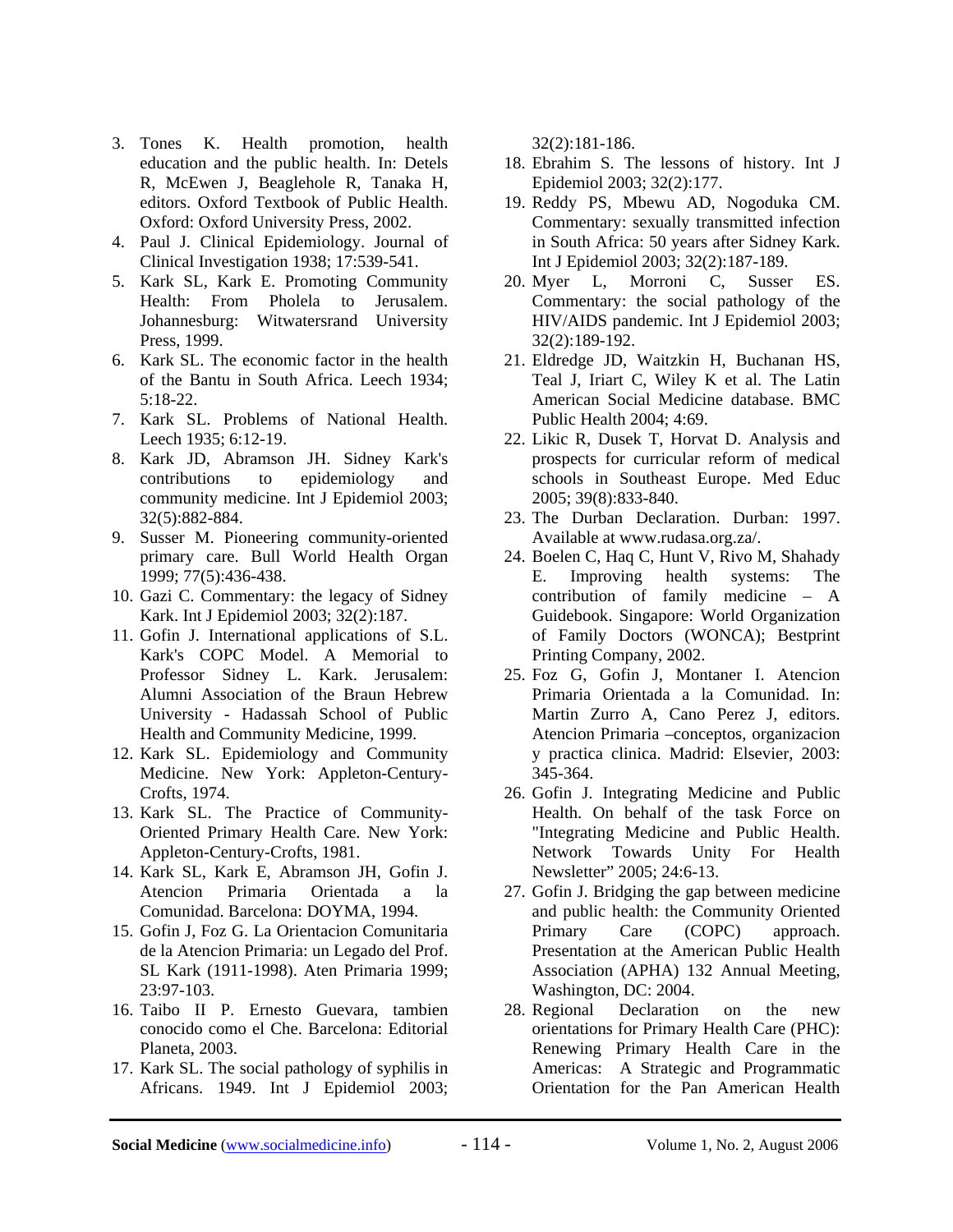- 3. Tones K. Health promotion, health education and the public health. In: Detels R, McEwen J, Beaglehole R, Tanaka H, editors. Oxford Textbook of Public Health. Oxford: Oxford University Press, 2002.
- 4. Paul J. Clinical Epidemiology. Journal of Clinical Investigation 1938; 17:539-541.
- 5. Kark SL, Kark E. Promoting Community Health: From Pholela to Jerusalem. Johannesburg: Witwatersrand University Press, 1999.
- 6. Kark SL. The economic factor in the health of the Bantu in South Africa. Leech 1934;  $5.18 - 22$
- 7. Kark SL. Problems of National Health. Leech 1935; 6:12-19.
- 8. Kark JD, Abramson JH. Sidney Kark's contributions to epidemiology and community medicine. Int J Epidemiol 2003; 32(5):882-884.
- 9. Susser M. Pioneering community-oriented primary care. Bull World Health Organ 1999; 77(5):436-438.
- 10. Gazi C. Commentary: the legacy of Sidney Kark. Int J Epidemiol 2003; 32(2):187.
- 11. Gofin J. International applications of S.L. Kark's COPC Model. A Memorial to Professor Sidney L. Kark. Jerusalem: Alumni Association of the Braun Hebrew University - Hadassah School of Public Health and Community Medicine, 1999.
- 12. Kark SL. Epidemiology and Community Medicine. New York: Appleton-Century-Crofts, 1974.
- 13. Kark SL. The Practice of Community-Oriented Primary Health Care. New York: Appleton-Century-Crofts, 1981.
- 14. Kark SL, Kark E, Abramson JH, Gofin J. Atencion Primaria Orientada a la Comunidad. Barcelona: DOYMA, 1994.
- 15. Gofin J, Foz G. La Orientacion Comunitaria de la Atencion Primaria: un Legado del Prof. SL Kark (1911-1998). Aten Primaria 1999; 23:97-103.
- 16. Taibo II P. Ernesto Guevara, tambien conocido como el Che. Barcelona: Editorial Planeta, 2003.
- 17. Kark SL. The social pathology of syphilis in Africans. 1949. Int J Epidemiol 2003;

32(2):181-186.

- 18. Ebrahim S. The lessons of history. Int J Epidemiol 2003; 32(2):177.
- 19. Reddy PS, Mbewu AD, Nogoduka CM. Commentary: sexually transmitted infection in South Africa: 50 years after Sidney Kark. Int J Epidemiol 2003; 32(2):187-189.
- 20. Myer L, Morroni C, Susser ES. Commentary: the social pathology of the HIV/AIDS pandemic. Int J Epidemiol 2003; 32(2):189-192.
- 21. Eldredge JD, Waitzkin H, Buchanan HS, Teal J, Iriart C, Wiley K et al. The Latin American Social Medicine database. BMC Public Health 2004; 4:69.
- 22. Likic R, Dusek T, Horvat D. Analysis and prospects for curricular reform of medical schools in Southeast Europe. Med Educ 2005; 39(8):833-840.
- 23. The Durban Declaration. Durban: 1997. Available at www.rudasa.org.za/.
- 24. Boelen C, Haq C, Hunt V, Rivo M, Shahady E. Improving health systems: The contribution of family medicine – A Guidebook. Singapore: World Organization of Family Doctors (WONCA); Bestprint Printing Company, 2002.
- 25. Foz G, Gofin J, Montaner I. Atencion Primaria Orientada a la Comunidad. In: Martin Zurro A, Cano Perez J, editors. Atencion Primaria –conceptos, organizacion y practica clinica. Madrid: Elsevier, 2003: 345-364.
- 26. Gofin J. Integrating Medicine and Public Health. On behalf of the task Force on "Integrating Medicine and Public Health. Network Towards Unity For Health Newsletter" 2005; 24:6-13.
- 27. Gofin J. Bridging the gap between medicine and public health: the Community Oriented Primary Care (COPC) approach. Presentation at the American Public Health Association (APHA) 132 Annual Meeting, Washington, DC: 2004.
- 28. Regional Declaration on the new orientations for Primary Health Care (PHC): Renewing Primary Health Care in the Americas: A Strategic and Programmatic Orientation for the Pan American Health